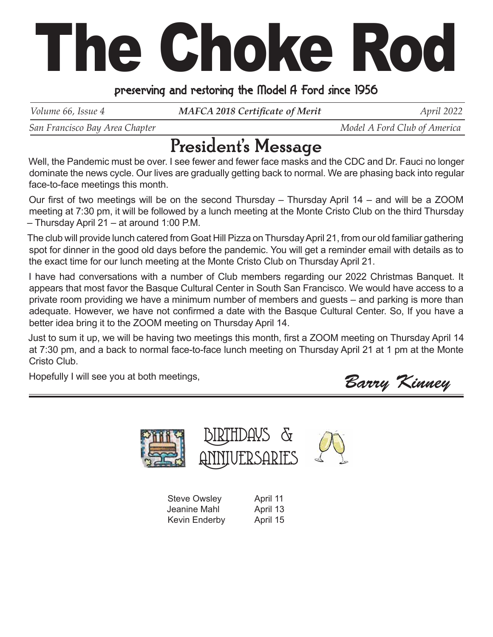# The Choke Rod

### preserving and restoring the Model A Ford since 1956

*Volume 66, Issue 4 MAFCA 2018 Certificate of Merit April 2022* 

*San Francisco Bay Area Chapter*  $\blacksquare$   $\blacksquare$   $\blacksquare$   $\blacksquare$   $\blacksquare$   $\blacksquare$   $\blacksquare$   $\blacksquare$   $\blacksquare$   $\blacksquare$   $\blacksquare$   $\blacksquare$   $\blacksquare$   $\blacksquare$   $\blacksquare$   $\blacksquare$   $\blacksquare$   $\blacksquare$   $\blacksquare$   $\blacksquare$   $\blacksquare$   $\blacksquare$   $\blacksquare$   $\blacksquare$   $\blacksquare$   $\blacksquare$   $\blacksquare$ 

## President's Message

Well, the Pandemic must be over. I see fewer and fewer face masks and the CDC and Dr. Fauci no longer dominate the news cycle. Our lives are gradually getting back to normal. We are phasing back into regular face-to-face meetings this month.

Our first of two meetings will be on the second Thursday – Thursday April  $14$  – and will be a ZOOM meeting at 7:30 pm, it will be followed by a lunch meeting at the Monte Cristo Club on the third Thursday – Thursday April 21 – at around 1:00 P.M.

The club will provide lunch catered from Goat Hill Pizza on Thursday April 21, from our old familiar gathering spot for dinner in the good old days before the pandemic. You will get a reminder email with details as to the exact time for our lunch meeting at the Monte Cristo Club on Thursday April 21.

I have had conversations with a number of Club members regarding our 2022 Christmas Banquet. It appears that most favor the Basque Cultural Center in South San Francisco. We would have access to a private room providing we have a minimum number of members and guests – and parking is more than adequate. However, we have not confirmed a date with the Basque Cultural Center. So, If you have a better idea bring it to the ZOOM meeting on Thursday April 14.

Just to sum it up, we will be having two meetings this month, first a ZOOM meeting on Thursday April 14 at 7:30 pm, and a back to normal face-to-face lunch meeting on Thursday April 21 at 1 pm at the Monte Cristo Club.

Hopefully I will see you at both meetings,

Barry Kinney



| <b>Steve Owsley</b> | April 11 |
|---------------------|----------|
| Jeanine Mahl        | April 13 |
| Kevin Enderby       | April 15 |